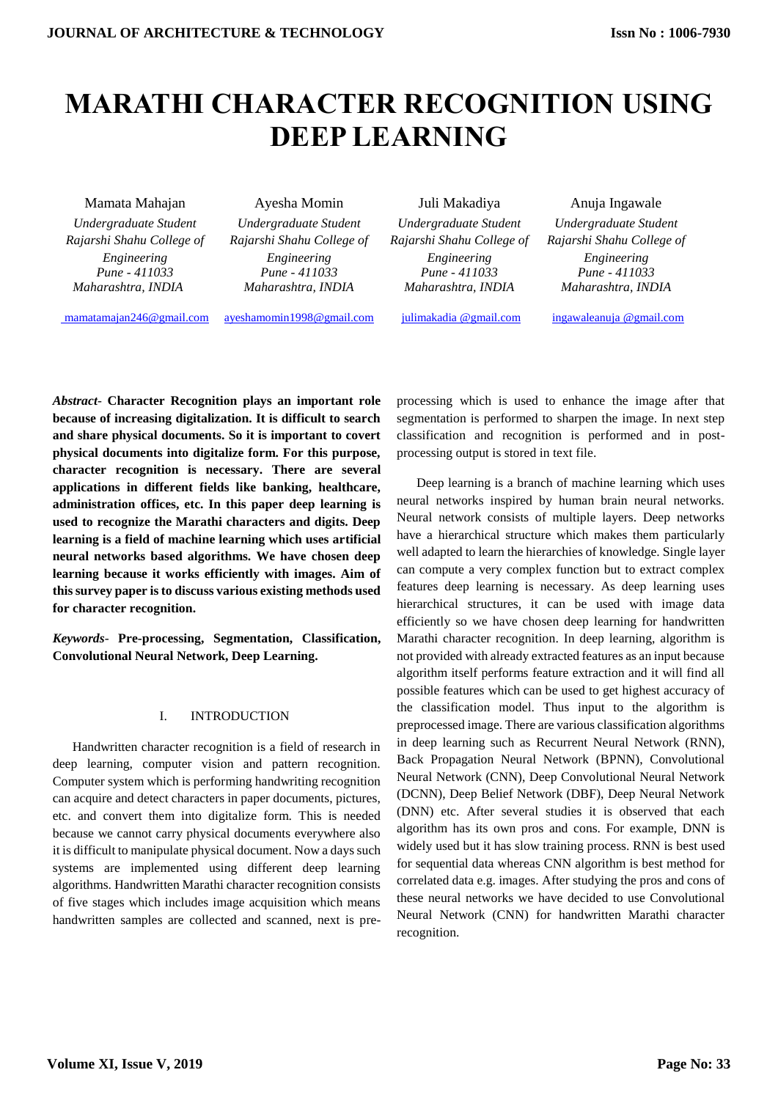# **MARATHI CHARACTER RECOGNITION USING DEEP LEARNING**

Mamata Mahajan Ayesha Momin Juli Makadiya Anuja Ingawale *Engineering Pune - 411033*

*Undergraduate Student Undergraduate Student Undergraduate Student Undergraduate Student Engineering Pune - 411033*

*Rajarshi Shahu College of Rajarshi Shahu College of Rajarshi Shahu College of Rajarshi Shahu College of Engineering Pune - 411033 Maharashtra, INDIA Maharashtra, INDIA Maharashtra, INDIA Maharashtra, INDIA*

*Engineering Pune - 411033*

[mamatamajan246@gmail.com](mailto:%20mamatamajan246@gmail.com) [ayeshamomin1998@gmail.com](mailto:ayeshamomin1998@gmail.com) [julimakadia @gmail.com](mailto:vipul.depolkar29@gmail.com) [ingawaleanuja @gmail.com](mailto:mayurbhole605@gmail.com)

*Abstract-* **Character Recognition plays an important role because of increasing digitalization. It is difficult to search and share physical documents. So it is important to covert physical documents into digitalize form. For this purpose, character recognition is necessary. There are several applications in different fields like banking, healthcare, administration offices, etc. In this paper deep learning is used to recognize the Marathi characters and digits. Deep learning is a field of machine learning which uses artificial neural networks based algorithms. We have chosen deep learning because it works efficiently with images. Aim of this survey paper is to discuss various existing methods used for character recognition.** 

*Keywords-* **Pre-processing, Segmentation, Classification, Convolutional Neural Network, Deep Learning.**

# I. INTRODUCTION

 Handwritten character recognition is a field of research in deep learning, computer vision and pattern recognition. Computer system which is performing handwriting recognition can acquire and detect characters in paper documents, pictures, etc. and convert them into digitalize form. This is needed because we cannot carry physical documents everywhere also it is difficult to manipulate physical document. Now a days such systems are implemented using different deep learning algorithms. Handwritten Marathi character recognition consists of five stages which includes image acquisition which means handwritten samples are collected and scanned, next is preprocessing which is used to enhance the image after that segmentation is performed to sharpen the image. In next step classification and recognition is performed and in postprocessing output is stored in text file.

 Deep learning is a branch of machine learning which uses neural networks inspired by human brain neural networks. Neural network consists of multiple layers. Deep networks have a hierarchical structure which makes them particularly well adapted to learn the hierarchies of knowledge. Single layer can compute a very complex function but to extract complex features deep learning is necessary. As deep learning uses hierarchical structures, it can be used with image data efficiently so we have chosen deep learning for handwritten Marathi character recognition. In deep learning, algorithm is not provided with already extracted features as an input because algorithm itself performs feature extraction and it will find all possible features which can be used to get highest accuracy of the classification model. Thus input to the algorithm is preprocessed image. There are various classification algorithms in deep learning such as Recurrent Neural Network (RNN), Back Propagation Neural Network (BPNN), Convolutional Neural Network (CNN), Deep Convolutional Neural Network (DCNN), Deep Belief Network (DBF), Deep Neural Network (DNN) etc. After several studies it is observed that each algorithm has its own pros and cons. For example, DNN is widely used but it has slow training process. RNN is best used for sequential data whereas CNN algorithm is best method for correlated data e.g. images. After studying the pros and cons of these neural networks we have decided to use Convolutional Neural Network (CNN) for handwritten Marathi character recognition.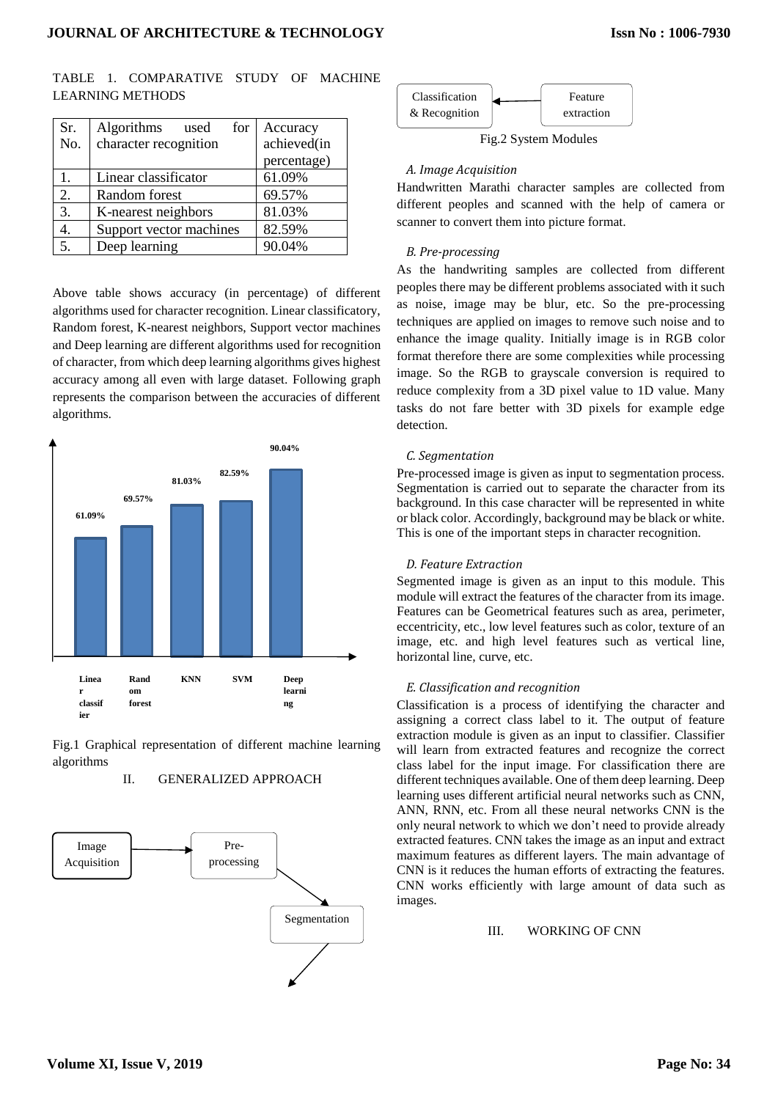|  | TABLE 1. COMPARATIVE STUDY OF MACHINE |  |  |
|--|---------------------------------------|--|--|
|  | <b>LEARNING METHODS</b>               |  |  |

| Sr.              | Algorithms<br>for<br>used | Accuracy    |
|------------------|---------------------------|-------------|
| No.              | character recognition     | achieved(in |
|                  |                           | percentage) |
| $\mathbf{1}$ .   | Linear classificator      | 61.09%      |
| 2.               | Random forest             | 69.57%      |
| $\overline{3}$ . | K-nearest neighbors       | 81.03%      |
|                  | Support vector machines   | 82.59%      |
| 5.               | Deep learning             | 90.04%      |

Above table shows accuracy (in percentage) of different algorithms used for character recognition. Linear classificatory, Random forest, K-nearest neighbors, Support vector machines and Deep learning are different algorithms used for recognition of character, from which deep learning algorithms gives highest accuracy among all even with large dataset. Following graph represents the comparison between the accuracies of different algorithms.



Fig.1 Graphical representation of different machine learning algorithms



# II. GENERALIZED APPROACH



Fig.2 System Modules

## *A. Image Acquisition*

Handwritten Marathi character samples are collected from different peoples and scanned with the help of camera or scanner to convert them into picture format.

# *B. Pre-processing*

As the handwriting samples are collected from different peoples there may be different problems associated with it such as noise, image may be blur, etc. So the pre-processing techniques are applied on images to remove such noise and to enhance the image quality. Initially image is in RGB color format therefore there are some complexities while processing image. So the RGB to grayscale conversion is required to reduce complexity from a 3D pixel value to 1D value. Many tasks do not fare better with 3D pixels for example edge detection.

## *C. Segmentation*

Pre-processed image is given as input to segmentation process. Segmentation is carried out to separate the character from its background. In this case character will be represented in white or black color. Accordingly, background may be black or white. This is one of the important steps in character recognition.

# *D. Feature Extraction*

Segmented image is given as an input to this module. This module will extract the features of the character from its image. Features can be Geometrical features such as area, perimeter, eccentricity, etc., low level features such as color, texture of an image, etc. and high level features such as vertical line, horizontal line, curve, etc.

#### *E. Classification and recognition*

Classification is a process of identifying the character and assigning a correct class label to it. The output of feature extraction module is given as an input to classifier. Classifier will learn from extracted features and recognize the correct class label for the input image. For classification there are different techniques available. One of them deep learning. Deep learning uses different artificial neural networks such as CNN, ANN, RNN, etc. From all these neural networks CNN is the only neural network to which we don't need to provide already extracted features. CNN takes the image as an input and extract maximum features as different layers. The main advantage of CNN is it reduces the human efforts of extracting the features. CNN works efficiently with large amount of data such as images.

#### III. WORKING OF CNN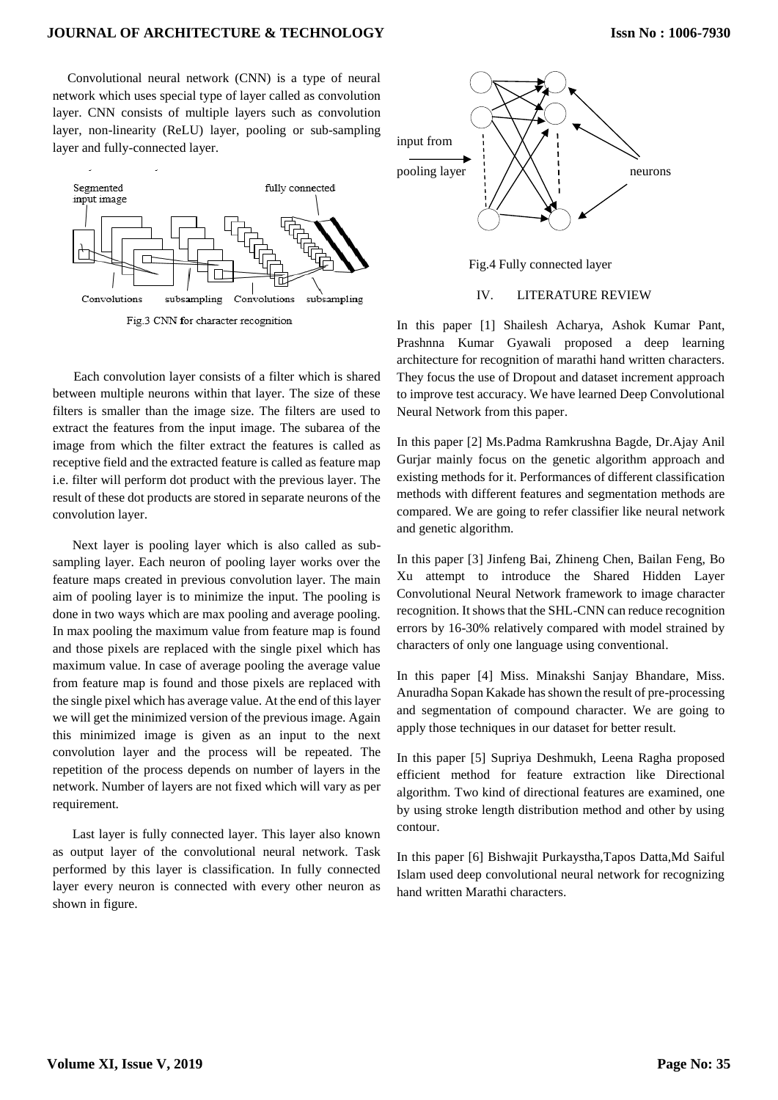#### **JOURNAL OF ARCHITECTURE & TECHNOLOGY**

 Convolutional neural network (CNN) is a type of neural network which uses special type of layer called as convolution layer. CNN consists of multiple layers such as convolution layer, non-linearity (ReLU) layer, pooling or sub-sampling layer and fully-connected layer.





 Next layer is pooling layer which is also called as subsampling layer. Each neuron of pooling layer works over the feature maps created in previous convolution layer. The main aim of pooling layer is to minimize the input. The pooling is done in two ways which are max pooling and average pooling. In max pooling the maximum value from feature map is found and those pixels are replaced with the single pixel which has maximum value. In case of average pooling the average value from feature map is found and those pixels are replaced with the single pixel which has average value. At the end of this layer we will get the minimized version of the previous image. Again this minimized image is given as an input to the next convolution layer and the process will be repeated. The repetition of the process depends on number of layers in the network. Number of layers are not fixed which will vary as per requirement.

 Last layer is fully connected layer. This layer also known as output layer of the convolutional neural network. Task performed by this layer is classification. In fully connected layer every neuron is connected with every other neuron as shown in figure.



Fig.4 Fully connected layer

IV. LITERATURE REVIEW

In this paper [1] Shailesh Acharya, Ashok Kumar Pant, Prashnna Kumar Gyawali proposed a deep learning architecture for recognition of marathi hand written characters. They focus the use of Dropout and dataset increment approach to improve test accuracy. We have learned Deep Convolutional Neural Network from this paper.

In this paper [2] Ms.Padma Ramkrushna Bagde, Dr.Ajay Anil Gurjar mainly focus on the genetic algorithm approach and existing methods for it. Performances of different classification methods with different features and segmentation methods are compared. We are going to refer classifier like neural network and genetic algorithm.

In this paper [3] Jinfeng Bai, Zhineng Chen, Bailan Feng, Bo Xu attempt to introduce the Shared Hidden Layer Convolutional Neural Network framework to image character recognition. It shows that the SHL-CNN can reduce recognition errors by 16-30% relatively compared with model strained by characters of only one language using conventional.

In this paper [4] Miss. Minakshi Sanjay Bhandare, Miss. Anuradha Sopan Kakade has shown the result of pre-processing and segmentation of compound character. We are going to apply those techniques in our dataset for better result.

In this paper [5] Supriya Deshmukh, Leena Ragha proposed efficient method for feature extraction like Directional algorithm. Two kind of directional features are examined, one by using stroke length distribution method and other by using contour.

In this paper [6] Bishwajit Purkaystha,Tapos Datta,Md Saiful Islam used deep convolutional neural network for recognizing hand written Marathi characters.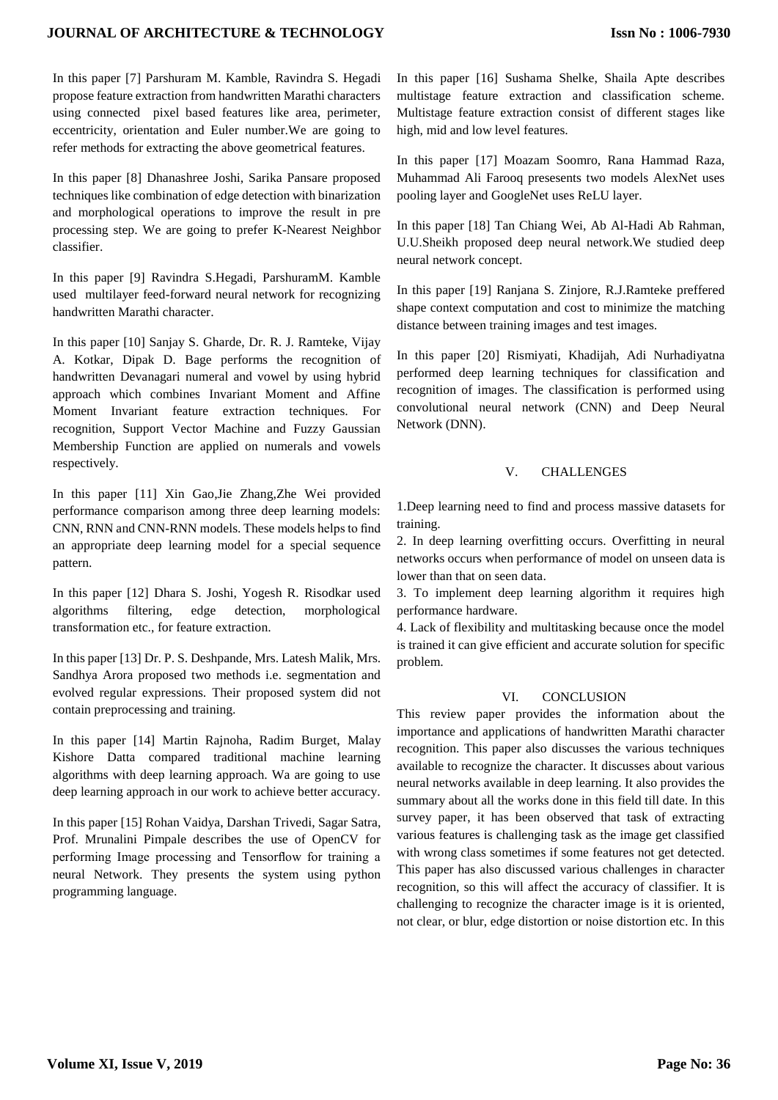In this paper [7] Parshuram M. Kamble, Ravindra S. Hegadi propose feature extraction from handwritten Marathi characters using connected pixel based features like area, perimeter, eccentricity, orientation and Euler number.We are going to refer methods for extracting the above geometrical features.

In this paper [8] Dhanashree Joshi, Sarika Pansare proposed techniques like combination of edge detection with binarization and morphological operations to improve the result in pre processing step. We are going to prefer K-Nearest Neighbor classifier.

In this paper [9] Ravindra S.Hegadi, ParshuramM. Kamble used multilayer feed-forward neural network for recognizing handwritten Marathi character.

In this paper [10] Sanjay S. Gharde, Dr. R. J. Ramteke, Vijay A. Kotkar, Dipak D. Bage performs the recognition of handwritten Devanagari numeral and vowel by using hybrid approach which combines Invariant Moment and Affine Moment Invariant feature extraction techniques. For recognition, Support Vector Machine and Fuzzy Gaussian Membership Function are applied on numerals and vowels respectively.

In this paper [11] Xin Gao,Jie Zhang,Zhe Wei provided performance comparison among three deep learning models: CNN, RNN and CNN-RNN models. These models helps to find an appropriate deep learning model for a special sequence pattern.

In this paper [12] Dhara S. Joshi, Yogesh R. Risodkar used algorithms filtering, edge detection, morphological transformation etc., for feature extraction.

In this paper [13] Dr. P. S. Deshpande, Mrs. Latesh Malik, Mrs. Sandhya Arora proposed two methods i.e. segmentation and evolved regular expressions. Their proposed system did not contain preprocessing and training.

In this paper [14] Martin Rajnoha, Radim Burget, Malay Kishore Datta compared traditional machine learning algorithms with deep learning approach. Wa are going to use deep learning approach in our work to achieve better accuracy.

In this paper [15] Rohan Vaidya, Darshan Trivedi, Sagar Satra, Prof. Mrunalini Pimpale describes the use of OpenCV for performing Image processing and Tensorflow for training a neural Network. They presents the system using python programming language.

In this paper [16] Sushama Shelke, Shaila Apte describes multistage feature extraction and classification scheme. Multistage feature extraction consist of different stages like high, mid and low level features.

In this paper [17] Moazam Soomro, Rana Hammad Raza, Muhammad Ali Farooq presesents two models AlexNet uses pooling layer and GoogleNet uses ReLU layer.

In this paper [18] Tan Chiang Wei, Ab Al-Hadi Ab Rahman, U.U.Sheikh proposed deep neural network.We studied deep neural network concept.

In this paper [19] Ranjana S. Zinjore, R.J.Ramteke preffered shape context computation and cost to minimize the matching distance between training images and test images.

In this paper [20] Rismiyati, Khadijah, Adi Nurhadiyatna performed deep learning techniques for classification and recognition of images. The classification is performed using convolutional neural network (CNN) and Deep Neural Network (DNN).

## V. CHALLENGES

1.Deep learning need to find and process massive datasets for training.

2. In deep learning overfitting occurs. Overfitting in neural networks occurs when performance of model on unseen data is lower than that on seen data.

3. To implement deep learning algorithm it requires high performance hardware.

4. Lack of flexibility and multitasking because once the model is trained it can give efficient and accurate solution for specific problem.

#### VI. CONCLUSION

This review paper provides the information about the importance and applications of handwritten Marathi character recognition. This paper also discusses the various techniques available to recognize the character. It discusses about various neural networks available in deep learning. It also provides the summary about all the works done in this field till date. In this survey paper, it has been observed that task of extracting various features is challenging task as the image get classified with wrong class sometimes if some features not get detected. This paper has also discussed various challenges in character recognition, so this will affect the accuracy of classifier. It is challenging to recognize the character image is it is oriented, not clear, or blur, edge distortion or noise distortion etc. In this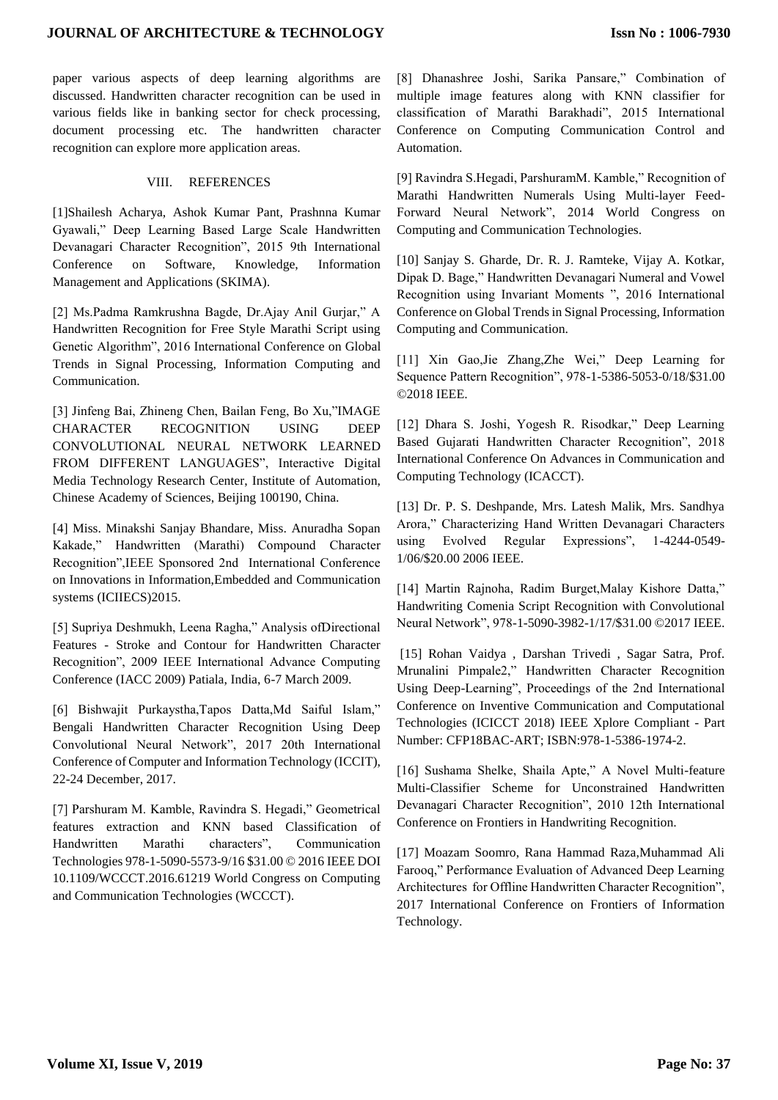paper various aspects of deep learning algorithms are discussed. Handwritten character recognition can be used in various fields like in banking sector for check processing, document processing etc. The handwritten character recognition can explore more application areas.

#### VIII. REFERENCES

[1]Shailesh Acharya, Ashok Kumar Pant, Prashnna Kumar Gyawali," Deep Learning Based Large Scale Handwritten Devanagari Character Recognition", 2015 9th International Conference on Software, Knowledge, Information Management and Applications (SKIMA).

[2] Ms.Padma Ramkrushna Bagde, Dr.Ajay Anil Gurjar," A Handwritten Recognition for Free Style Marathi Script using Genetic Algorithm", 2016 International Conference on Global Trends in Signal Processing, Information Computing and Communication.

[3] Jinfeng Bai, Zhineng Chen, Bailan Feng, Bo Xu,"IMAGE CHARACTER RECOGNITION USING DEEP CONVOLUTIONAL NEURAL NETWORK LEARNED FROM DIFFERENT LANGUAGES", Interactive Digital Media Technology Research Center, Institute of Automation, Chinese Academy of Sciences, Beijing 100190, China.

[4] Miss. Minakshi Sanjay Bhandare, Miss. Anuradha Sopan Kakade," Handwritten (Marathi) Compound Character Recognition",IEEE Sponsored 2nd International Conference on Innovations in Information,Embedded and Communication systems (ICIIECS)2015.

[5] Supriya Deshmukh, Leena Ragha," Analysis ofDirectional Features - Stroke and Contour for Handwritten Character Recognition", 2009 IEEE International Advance Computing Conference (IACC 2009) Patiala, India, 6-7 March 2009.

[6] Bishwajit Purkaystha,Tapos Datta,Md Saiful Islam," Bengali Handwritten Character Recognition Using Deep Convolutional Neural Network", 2017 20th International Conference of Computer and Information Technology (ICCIT), 22-24 December, 2017.

[7] Parshuram M. Kamble, Ravindra S. Hegadi," Geometrical features extraction and KNN based Classification of Handwritten Marathi characters", Communication Technologies 978-1-5090-5573-9/16 \$31.00 © 2016 IEEE DOI 10.1109/WCCCT.2016.61219 World Congress on Computing and Communication Technologies (WCCCT).

[8] Dhanashree Joshi, Sarika Pansare," Combination of multiple image features along with KNN classifier for classification of Marathi Barakhadi", 2015 International Conference on Computing Communication Control and Automation.

[9] Ravindra S.Hegadi, ParshuramM. Kamble," Recognition of Marathi Handwritten Numerals Using Multi-layer Feed-Forward Neural Network", 2014 World Congress on Computing and Communication Technologies.

[10] Sanjay S. Gharde, Dr. R. J. Ramteke, Vijay A. Kotkar, Dipak D. Bage," Handwritten Devanagari Numeral and Vowel Recognition using Invariant Moments ", 2016 International Conference on Global Trends in Signal Processing, Information Computing and Communication.

[11] Xin Gao,Jie Zhang,Zhe Wei," Deep Learning for Sequence Pattern Recognition", 978-1-5386-5053-0/18/\$31.00 ©2018 IEEE.

[12] Dhara S. Joshi, Yogesh R. Risodkar," Deep Learning Based Gujarati Handwritten Character Recognition", 2018 International Conference On Advances in Communication and Computing Technology (ICACCT).

[13] Dr. P. S. Deshpande, Mrs. Latesh Malik, Mrs. Sandhya Arora," Characterizing Hand Written Devanagari Characters using Evolved Regular Expressions", 1-4244-0549- 1/06/\$20.00 2006 IEEE.

[14] Martin Rajnoha, Radim Burget,Malay Kishore Datta," Handwriting Comenia Script Recognition with Convolutional Neural Network", 978-1-5090-3982-1/17/\$31.00 ©2017 IEEE.

[15] Rohan Vaidya , Darshan Trivedi , Sagar Satra, Prof. Mrunalini Pimpale2," Handwritten Character Recognition Using Deep-Learning", Proceedings of the 2nd International Conference on Inventive Communication and Computational Technologies (ICICCT 2018) IEEE Xplore Compliant - Part Number: CFP18BAC-ART; ISBN:978-1-5386-1974-2.

[16] Sushama Shelke, Shaila Apte," A Novel Multi-feature Multi-Classifier Scheme for Unconstrained Handwritten Devanagari Character Recognition", 2010 12th International Conference on Frontiers in Handwriting Recognition.

[17] Moazam Soomro, Rana Hammad Raza,Muhammad Ali Farooq," Performance Evaluation of Advanced Deep Learning Architectures for Offline Handwritten Character Recognition", 2017 International Conference on Frontiers of Information Technology.